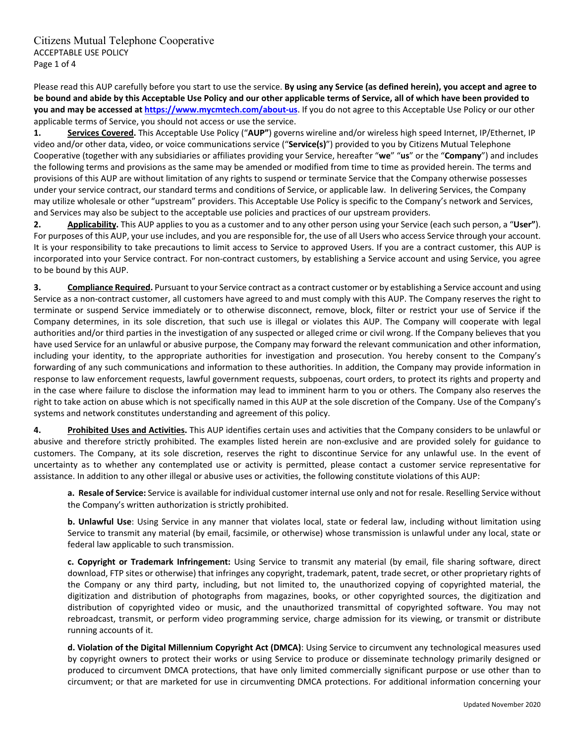Please read this AUP carefully before you start to use the service. **By using any Service (as defined herein), you accept and agree to** be bound and abide by this Acceptable Use Policy and our other applicable terms of Service, all of which have been provided to **you and may be accessed at https://www.mycmtech.com/about‐us**. If you do not agree to this Acceptable Use Policy or our other applicable terms of Service, you should not access or use the service.

**1. Services Covered.** This Acceptable Use Policy ("**AUP"**) governs wireline and/or wireless high speed Internet, IP/Ethernet, IP video and/or other data, video, or voice communications service ("**Service(s)**") provided to you by Citizens Mutual Telephone Cooperative (together with any subsidiaries or affiliates providing your Service, hereafter "**we**" "**us**" or the "**Company**") and includes the following terms and provisions as the same may be amended or modified from time to time as provided herein. The terms and provisions of this AUP are without limitation of any rights to suspend or terminate Service that the Company otherwise possesses under your service contract, our standard terms and conditions of Service, or applicable law. In delivering Services, the Company may utilize wholesale or other "upstream" providers. This Acceptable Use Policy is specific to the Company's network and Services, and Services may also be subject to the acceptable use policies and practices of our upstream providers.

**2. Applicability.** This AUP applies to you as a customer and to any other person using your Service (each such person, a "**User"**). For purposes of this AUP, your use includes, and you are responsible for, the use of all Users who access Service through your account. It is your responsibility to take precautions to limit access to Service to approved Users. If you are a contract customer, this AUP is incorporated into your Service contract. For non-contract customers, by establishing a Service account and using Service, you agree to be bound by this AUP.

**3. Compliance Required.** Pursuant to your Service contract as a contract customer or by establishing a Service account and using Service as a non-contract customer, all customers have agreed to and must comply with this AUP. The Company reserves the right to terminate or suspend Service immediately or to otherwise disconnect, remove, block, filter or restrict your use of Service if the Company determines, in its sole discretion, that such use is illegal or violates this AUP. The Company will cooperate with legal authorities and/or third parties in the investigation of any suspected or alleged crime or civil wrong. If the Company believes that you have used Service for an unlawful or abusive purpose, the Company may forward the relevant communication and other information, including your identity, to the appropriate authorities for investigation and prosecution. You hereby consent to the Company's forwarding of any such communications and information to these authorities. In addition, the Company may provide information in response to law enforcement requests, lawful government requests, subpoenas, court orders, to protect its rights and property and in the case where failure to disclose the information may lead to imminent harm to you or others. The Company also reserves the right to take action on abuse which is not specifically named in this AUP at the sole discretion of the Company. Use of the Company's systems and network constitutes understanding and agreement of this policy.

**4. Prohibited Uses and Activities.** This AUP identifies certain uses and activities that the Company considers to be unlawful or abusive and therefore strictly prohibited. The examples listed herein are non‐exclusive and are provided solely for guidance to customers. The Company, at its sole discretion, reserves the right to discontinue Service for any unlawful use. In the event of uncertainty as to whether any contemplated use or activity is permitted, please contact a customer service representative for assistance. In addition to any other illegal or abusive uses or activities, the following constitute violations of this AUP:

**a. Resale of Service:** Service is available for individual customer internal use only and not for resale. Reselling Service without the Company's written authorization is strictly prohibited.

**b. Unlawful Use**: Using Service in any manner that violates local, state or federal law, including without limitation using Service to transmit any material (by email, facsimile, or otherwise) whose transmission is unlawful under any local, state or federal law applicable to such transmission.

**c. Copyright or Trademark Infringement:** Using Service to transmit any material (by email, file sharing software, direct download, FTP sites or otherwise) that infringes any copyright, trademark, patent, trade secret, or other proprietary rights of the Company or any third party, including, but not limited to, the unauthorized copying of copyrighted material, the digitization and distribution of photographs from magazines, books, or other copyrighted sources, the digitization and distribution of copyrighted video or music, and the unauthorized transmittal of copyrighted software. You may not rebroadcast, transmit, or perform video programming service, charge admission for its viewing, or transmit or distribute running accounts of it.

**d. Violation of the Digital Millennium Copyright Act (DMCA)**: Using Service to circumvent any technological measures used by copyright owners to protect their works or using Service to produce or disseminate technology primarily designed or produced to circumvent DMCA protections, that have only limited commercially significant purpose or use other than to circumvent; or that are marketed for use in circumventing DMCA protections. For additional information concerning your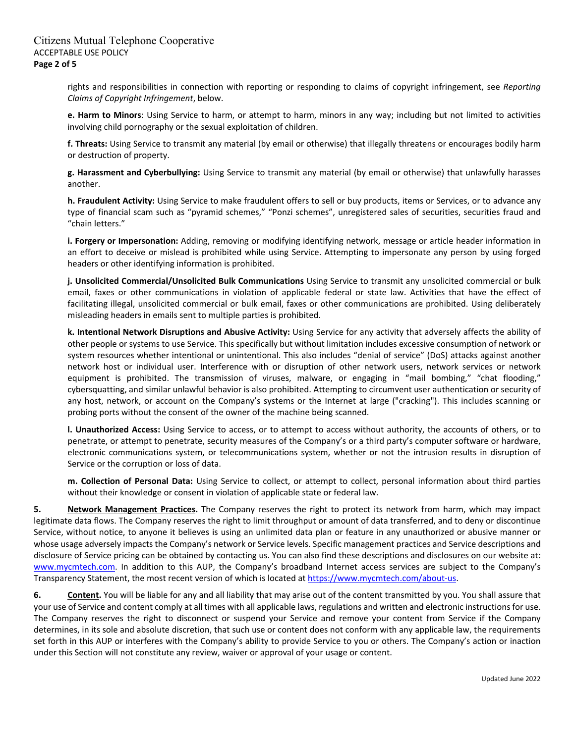rights and responsibilities in connection with reporting or responding to claims of copyright infringement, see *Reporting Claims of Copyright Infringement*, below.

**e. Harm to Minors**: Using Service to harm, or attempt to harm, minors in any way; including but not limited to activities involving child pornography or the sexual exploitation of children.

**f. Threats:** Using Service to transmit any material (by email or otherwise) that illegally threatens or encourages bodily harm or destruction of property.

**g. Harassment and Cyberbullying:** Using Service to transmit any material (by email or otherwise) that unlawfully harasses another.

**h. Fraudulent Activity:** Using Service to make fraudulent offers to sell or buy products, items or Services, or to advance any type of financial scam such as "pyramid schemes," "Ponzi schemes", unregistered sales of securities, securities fraud and "chain letters."

**i. Forgery or Impersonation:** Adding, removing or modifying identifying network, message or article header information in an effort to deceive or mislead is prohibited while using Service. Attempting to impersonate any person by using forged headers or other identifying information is prohibited.

**j. Unsolicited Commercial/Unsolicited Bulk Communications** Using Service to transmit any unsolicited commercial or bulk email, faxes or other communications in violation of applicable federal or state law. Activities that have the effect of facilitating illegal, unsolicited commercial or bulk email, faxes or other communications are prohibited. Using deliberately misleading headers in emails sent to multiple parties is prohibited.

**k. Intentional Network Disruptions and Abusive Activity:** Using Service for any activity that adversely affects the ability of other people or systems to use Service. This specifically but without limitation includes excessive consumption of network or system resources whether intentional or unintentional. This also includes "denial of service" (DoS) attacks against another network host or individual user. Interference with or disruption of other network users, network services or network equipment is prohibited. The transmission of viruses, malware, or engaging in "mail bombing," "chat flooding," cybersquatting, and similar unlawful behavior is also prohibited. Attempting to circumvent user authentication or security of any host, network, or account on the Company's systems or the Internet at large ("cracking"). This includes scanning or probing ports without the consent of the owner of the machine being scanned.

**l. Unauthorized Access:** Using Service to access, or to attempt to access without authority, the accounts of others, or to penetrate, or attempt to penetrate, security measures of the Company's or a third party's computer software or hardware, electronic communications system, or telecommunications system, whether or not the intrusion results in disruption of Service or the corruption or loss of data.

**m. Collection of Personal Data:** Using Service to collect, or attempt to collect, personal information about third parties without their knowledge or consent in violation of applicable state or federal law.

**5. Network Management Practices.** The Company reserves the right to protect its network from harm, which may impact legitimate data flows. The Company reserves the right to limit throughput or amount of data transferred, and to deny or discontinue Service, without notice, to anyone it believes is using an unlimited data plan or feature in any unauthorized or abusive manner or whose usage adversely impacts the Company's network or Service levels. Specific management practices and Service descriptions and disclosure of Service pricing can be obtained by contacting us. You can also find these descriptions and disclosures on our website at: www.mycmtech.com. In addition to this AUP, the Company's broadband Internet access services are subject to the Company's Transparency Statement, the most recent version of which is located at https://www.mycmtech.com/about-us.

**6. Content.** You will be liable for any and all liability that may arise out of the content transmitted by you. You shall assure that your use of Service and content comply at all times with all applicable laws, regulations and written and electronic instructionsfor use. The Company reserves the right to disconnect or suspend your Service and remove your content from Service if the Company determines, in its sole and absolute discretion, that such use or content does not conform with any applicable law, the requirements set forth in this AUP or interferes with the Company's ability to provide Service to you or others. The Company's action or inaction under this Section will not constitute any review, waiver or approval of your usage or content.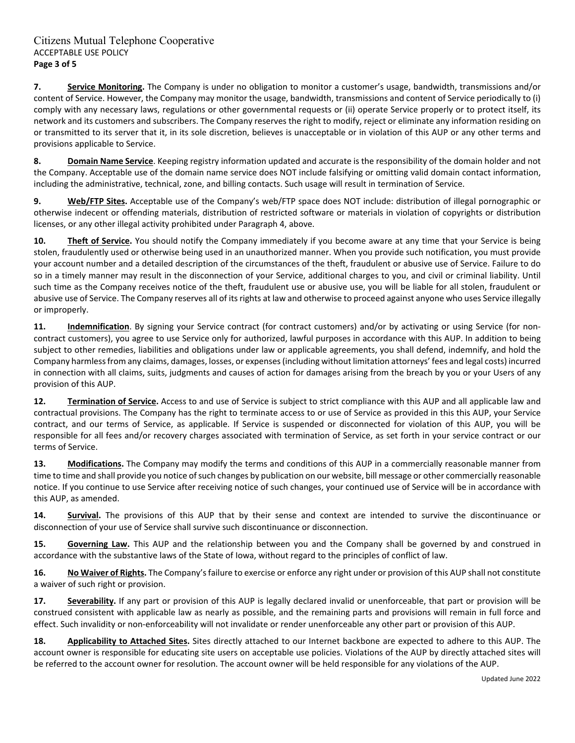**7. Service Monitoring.** The Company is under no obligation to monitor a customer's usage, bandwidth, transmissions and/or content of Service. However, the Company may monitor the usage, bandwidth, transmissions and content of Service periodically to (i) comply with any necessary laws, regulations or other governmental requests or (ii) operate Service properly or to protect itself, its network and its customers and subscribers. The Company reserves the right to modify, reject or eliminate any information residing on or transmitted to its server that it, in its sole discretion, believes is unacceptable or in violation of this AUP or any other terms and provisions applicable to Service.

**8. Domain Name Service**. Keeping registry information updated and accurate is the responsibility of the domain holder and not the Company. Acceptable use of the domain name service does NOT include falsifying or omitting valid domain contact information, including the administrative, technical, zone, and billing contacts. Such usage will result in termination of Service.

**9. Web/FTP Sites.** Acceptable use of the Company's web/FTP space does NOT include: distribution of illegal pornographic or otherwise indecent or offending materials, distribution of restricted software or materials in violation of copyrights or distribution licenses, or any other illegal activity prohibited under Paragraph 4, above.

**10. Theft of Service.** You should notify the Company immediately if you become aware at any time that your Service is being stolen, fraudulently used or otherwise being used in an unauthorized manner. When you provide such notification, you must provide your account number and a detailed description of the circumstances of the theft, fraudulent or abusive use of Service. Failure to do so in a timely manner may result in the disconnection of your Service, additional charges to you, and civil or criminal liability. Until such time as the Company receives notice of the theft, fraudulent use or abusive use, you will be liable for all stolen, fraudulent or abusive use of Service. The Company reserves all of itsrights at law and otherwise to proceed against anyone who uses Service illegally or improperly.

11. **Indemnification**. By signing your Service contract (for contract customers) and/or by activating or using Service (for noncontract customers), you agree to use Service only for authorized, lawful purposes in accordance with this AUP. In addition to being subject to other remedies, liabilities and obligations under law or applicable agreements, you shall defend, indemnify, and hold the Company harmlessfrom any claims, damages, losses, or expenses(including without limitation attorneys' fees and legal costs) incurred in connection with all claims, suits, judgments and causes of action for damages arising from the breach by you or your Users of any provision of this AUP.

**12. Termination of Service.** Access to and use of Service is subject to strict compliance with this AUP and all applicable law and contractual provisions. The Company has the right to terminate access to or use of Service as provided in this this AUP, your Service contract, and our terms of Service, as applicable. If Service is suspended or disconnected for violation of this AUP, you will be responsible for all fees and/or recovery charges associated with termination of Service, as set forth in your service contract or our terms of Service.

**13. Modifications.** The Company may modify the terms and conditions of this AUP in a commercially reasonable manner from time to time and shall provide you notice of such changes by publication on our website, bill message or other commercially reasonable notice. If you continue to use Service after receiving notice of such changes, your continued use of Service will be in accordance with this AUP, as amended.

**14. Survival.** The provisions of this AUP that by their sense and context are intended to survive the discontinuance or disconnection of your use of Service shall survive such discontinuance or disconnection.

**15. Governing Law.** This AUP and the relationship between you and the Company shall be governed by and construed in accordance with the substantive laws of the State of Iowa, without regard to the principles of conflict of law.

**16. No Waiver of Rights.** The Company'sfailure to exercise or enforce any right under or provision of this AUP shall not constitute a waiver of such right or provision.

**17. Severability.** If any part or provision of this AUP is legally declared invalid or unenforceable, that part or provision will be construed consistent with applicable law as nearly as possible, and the remaining parts and provisions will remain in full force and effect. Such invalidity or non‐enforceability will not invalidate or render unenforceable any other part or provision of this AUP.

**18. Applicability to Attached Sites.** Sites directly attached to our Internet backbone are expected to adhere to this AUP. The account owner is responsible for educating site users on acceptable use policies. Violations of the AUP by directly attached sites will be referred to the account owner for resolution. The account owner will be held responsible for any violations of the AUP.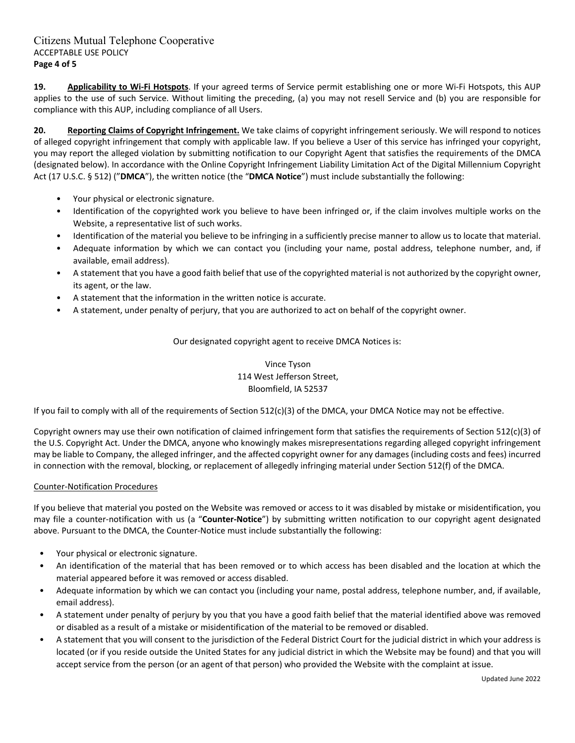**19. Applicability to Wi‐Fi Hotspots**. If your agreed terms of Service permit establishing one or more Wi‐Fi Hotspots, this AUP applies to the use of such Service. Without limiting the preceding, (a) you may not resell Service and (b) you are responsible for compliance with this AUP, including compliance of all Users.

**20. Reporting Claims of Copyright Infringement.** We take claims of copyright infringement seriously. We will respond to notices of alleged copyright infringement that comply with applicable law. If you believe a User of this service has infringed your copyright, you may report the alleged violation by submitting notification to our Copyright Agent that satisfies the requirements of the DMCA (designated below). In accordance with the Online Copyright Infringement Liability Limitation Act of the Digital Millennium Copyright Act (17 U.S.C. § 512) ("**DMCA**"), the written notice (the "**DMCA Notice**") must include substantially the following:

- Your physical or electronic signature.
- Identification of the copyrighted work you believe to have been infringed or, if the claim involves multiple works on the Website, a representative list of such works.
- Identification of the material you believe to be infringing in a sufficiently precise manner to allow us to locate that material.
- Adequate information by which we can contact you (including your name, postal address, telephone number, and, if available, email address).
- A statement that you have a good faith belief that use of the copyrighted material is not authorized by the copyright owner, its agent, or the law.
- A statement that the information in the written notice is accurate.
- A statement, under penalty of perjury, that you are authorized to act on behalf of the copyright owner.

Our designated copyright agent to receive DMCA Notices is:

Vince Tyson 114 West Jefferson Street, Bloomfield, IA 52537

If you fail to comply with all of the requirements of Section 512(c)(3) of the DMCA, your DMCA Notice may not be effective.

Copyright owners may use their own notification of claimed infringement form that satisfies the requirements of Section 512(c)(3) of the U.S. Copyright Act. Under the DMCA, anyone who knowingly makes misrepresentations regarding alleged copyright infringement may be liable to Company, the alleged infringer, and the affected copyright owner for any damages (including costs and fees) incurred in connection with the removal, blocking, or replacement of allegedly infringing material under Section 512(f) of the DMCA.

#### Counter‐Notification Procedures

If you believe that material you posted on the Website was removed or access to it was disabled by mistake or misidentification, you may file a counter‐notification with us (a "**Counter‐Notice**") by submitting written notification to our copyright agent designated above. Pursuant to the DMCA, the Counter‐Notice must include substantially the following:

- Your physical or electronic signature.
- An identification of the material that has been removed or to which access has been disabled and the location at which the material appeared before it was removed or access disabled.
- Adequate information by which we can contact you (including your name, postal address, telephone number, and, if available, email address).
- A statement under penalty of perjury by you that you have a good faith belief that the material identified above was removed or disabled as a result of a mistake or misidentification of the material to be removed or disabled.
- A statement that you will consent to the jurisdiction of the Federal District Court for the judicial district in which your address is located (or if you reside outside the United States for any judicial district in which the Website may be found) and that you will accept service from the person (or an agent of that person) who provided the Website with the complaint at issue.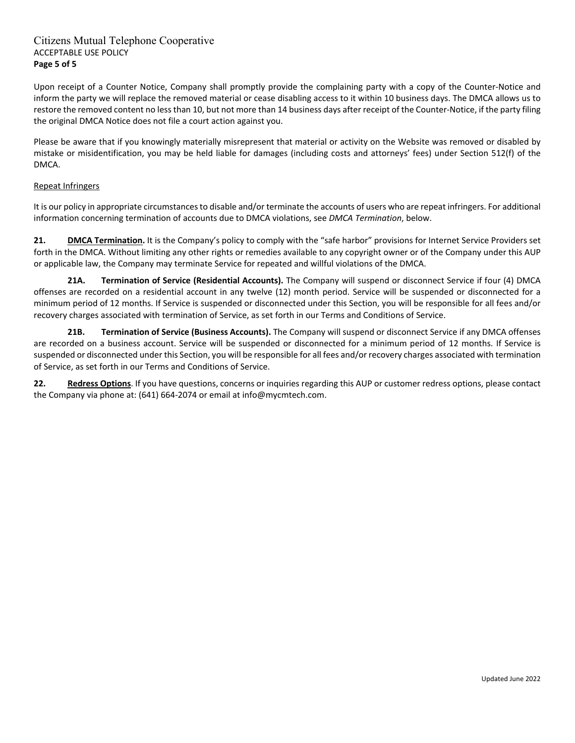# Citizens Mutual Telephone Cooperative ACCEPTABLE USE POLICY **Page 5 of 5**

Upon receipt of a Counter Notice, Company shall promptly provide the complaining party with a copy of the Counter‐Notice and inform the party we will replace the removed material or cease disabling access to it within 10 business days. The DMCA allows us to restore the removed content no less than 10, but not more than 14 business days after receipt of the Counter-Notice, if the party filing the original DMCA Notice does not file a court action against you.

Please be aware that if you knowingly materially misrepresent that material or activity on the Website was removed or disabled by mistake or misidentification, you may be held liable for damages (including costs and attorneys' fees) under Section 512(f) of the DMCA.

#### Repeat Infringers

It is our policy in appropriate circumstances to disable and/or terminate the accounts of users who are repeat infringers. For additional information concerning termination of accounts due to DMCA violations, see *DMCA Termination*, below.

**21. DMCA Termination.** It is the Company's policy to comply with the "safe harbor" provisions for Internet Service Providers set forth in the DMCA. Without limiting any other rights or remedies available to any copyright owner or of the Company under this AUP or applicable law, the Company may terminate Service for repeated and willful violations of the DMCA.

**21A. Termination of Service (Residential Accounts).** The Company will suspend or disconnect Service if four (4) DMCA offenses are recorded on a residential account in any twelve (12) month period. Service will be suspended or disconnected for a minimum period of 12 months. If Service is suspended or disconnected under this Section, you will be responsible for all fees and/or recovery charges associated with termination of Service, as set forth in our Terms and Conditions of Service.

**21B. Termination of Service (Business Accounts).** The Company will suspend or disconnect Service if any DMCA offenses are recorded on a business account. Service will be suspended or disconnected for a minimum period of 12 months. If Service is suspended or disconnected under this Section, you will be responsible for all fees and/or recovery charges associated with termination of Service, as set forth in our Terms and Conditions of Service.

**22. Redress Options**. If you have questions, concerns or inquiries regarding this AUP or customer redress options, please contact the Company via phone at: (641) 664‐2074 or email at info@mycmtech.com.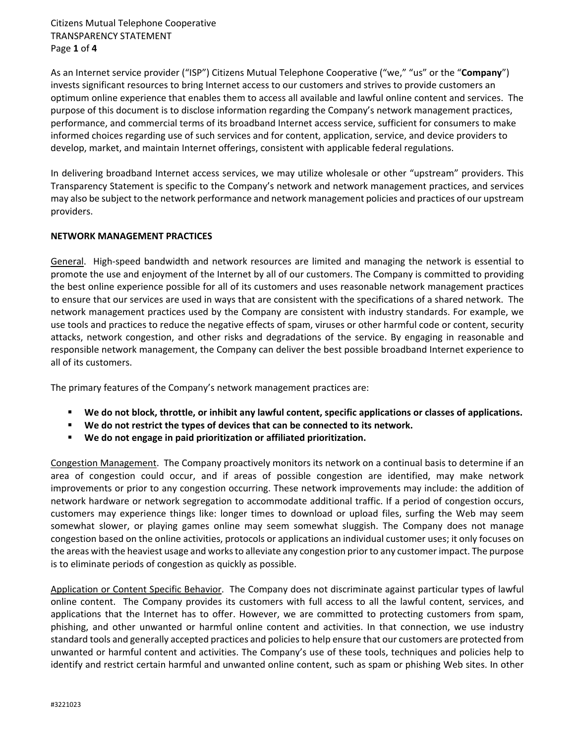Citizens Mutual Telephone Cooperative TRANSPARENCY STATEMENT Page **1** of **4**

As an Internet service provider ("ISP") Citizens Mutual Telephone Cooperative ("we," "us" or the "**Company**") invests significant resources to bring Internet access to our customers and strives to provide customers an optimum online experience that enables them to access all available and lawful online content and services. The purpose of this document is to disclose information regarding the Company's network management practices, performance, and commercial terms of its broadband Internet access service, sufficient for consumers to make informed choices regarding use of such services and for content, application, service, and device providers to develop, market, and maintain Internet offerings, consistent with applicable federal regulations.

In delivering broadband Internet access services, we may utilize wholesale or other "upstream" providers. This Transparency Statement is specific to the Company's network and network management practices, and services may also be subject to the network performance and network management policies and practices of our upstream providers.

# **NETWORK MANAGEMENT PRACTICES**

General. High‐speed bandwidth and network resources are limited and managing the network is essential to promote the use and enjoyment of the Internet by all of our customers. The Company is committed to providing the best online experience possible for all of its customers and uses reasonable network management practices to ensure that our services are used in ways that are consistent with the specifications of a shared network. The network management practices used by the Company are consistent with industry standards. For example, we use tools and practices to reduce the negative effects of spam, viruses or other harmful code or content, security attacks, network congestion, and other risks and degradations of the service. By engaging in reasonable and responsible network management, the Company can deliver the best possible broadband Internet experience to all of its customers.

The primary features of the Company's network management practices are:

- **We do not block, throttle, or inhibit any lawful content, specific applications or classes of applications.**
- **We do not restrict the types of devices that can be connected to its network.**
- **We do not engage in paid prioritization or affiliated prioritization.**

Congestion Management. The Company proactively monitors its network on a continual basis to determine if an area of congestion could occur, and if areas of possible congestion are identified, may make network improvements or prior to any congestion occurring. These network improvements may include: the addition of network hardware or network segregation to accommodate additional traffic. If a period of congestion occurs, customers may experience things like: longer times to download or upload files, surfing the Web may seem somewhat slower, or playing games online may seem somewhat sluggish. The Company does not manage congestion based on the online activities, protocols or applications an individual customer uses; it only focuses on the areas with the heaviest usage and works to alleviate any congestion prior to any customer impact. The purpose is to eliminate periods of congestion as quickly as possible.

Application or Content Specific Behavior. The Company does not discriminate against particular types of lawful online content. The Company provides its customers with full access to all the lawful content, services, and applications that the Internet has to offer. However, we are committed to protecting customers from spam, phishing, and other unwanted or harmful online content and activities. In that connection, we use industry standard tools and generally accepted practices and policies to help ensure that our customers are protected from unwanted or harmful content and activities. The Company's use of these tools, techniques and policies help to identify and restrict certain harmful and unwanted online content, such as spam or phishing Web sites. In other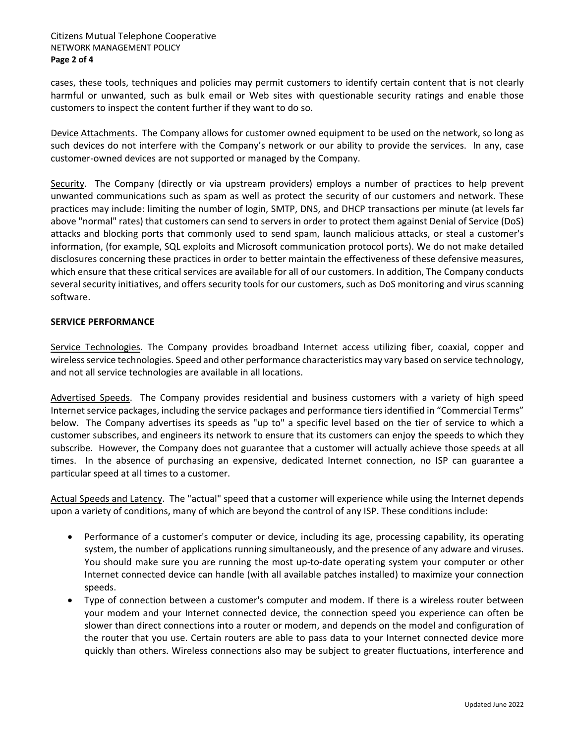#### Citizens Mutual Telephone Cooperative NETWORK MANAGEMENT POLICY **Page 2 of 4**

cases, these tools, techniques and policies may permit customers to identify certain content that is not clearly harmful or unwanted, such as bulk email or Web sites with questionable security ratings and enable those customers to inspect the content further if they want to do so.

Device Attachments. The Company allows for customer owned equipment to be used on the network, so long as such devices do not interfere with the Company's network or our ability to provide the services. In any, case customer‐owned devices are not supported or managed by the Company.

Security. The Company (directly or via upstream providers) employs a number of practices to help prevent unwanted communications such as spam as well as protect the security of our customers and network. These practices may include: limiting the number of login, SMTP, DNS, and DHCP transactions per minute (at levels far above "normal" rates) that customers can send to servers in order to protect them against Denial of Service (DoS) attacks and blocking ports that commonly used to send spam, launch malicious attacks, or steal a customer's information, (for example, SQL exploits and Microsoft communication protocol ports). We do not make detailed disclosures concerning these practices in order to better maintain the effectiveness of these defensive measures, which ensure that these critical services are available for all of our customers. In addition, The Company conducts several security initiatives, and offers security tools for our customers, such as DoS monitoring and virus scanning software.

# **SERVICE PERFORMANCE**

Service Technologies. The Company provides broadband Internet access utilizing fiber, coaxial, copper and wirelessservice technologies. Speed and other performance characteristics may vary based on service technology, and not all service technologies are available in all locations.

Advertised Speeds. The Company provides residential and business customers with a variety of high speed Internet service packages, including the service packages and performance tiers identified in "Commercial Terms" below. The Company advertises its speeds as "up to" a specific level based on the tier of service to which a customer subscribes, and engineers its network to ensure that its customers can enjoy the speeds to which they subscribe. However, the Company does not guarantee that a customer will actually achieve those speeds at all times. In the absence of purchasing an expensive, dedicated Internet connection, no ISP can guarantee a particular speed at all times to a customer.

Actual Speeds and Latency. The "actual" speed that a customer will experience while using the Internet depends upon a variety of conditions, many of which are beyond the control of any ISP. These conditions include:

- Performance of a customer's computer or device, including its age, processing capability, its operating system, the number of applications running simultaneously, and the presence of any adware and viruses. You should make sure you are running the most up‐to‐date operating system your computer or other Internet connected device can handle (with all available patches installed) to maximize your connection speeds.
- Type of connection between a customer's computer and modem. If there is a wireless router between your modem and your Internet connected device, the connection speed you experience can often be slower than direct connections into a router or modem, and depends on the model and configuration of the router that you use. Certain routers are able to pass data to your Internet connected device more quickly than others. Wireless connections also may be subject to greater fluctuations, interference and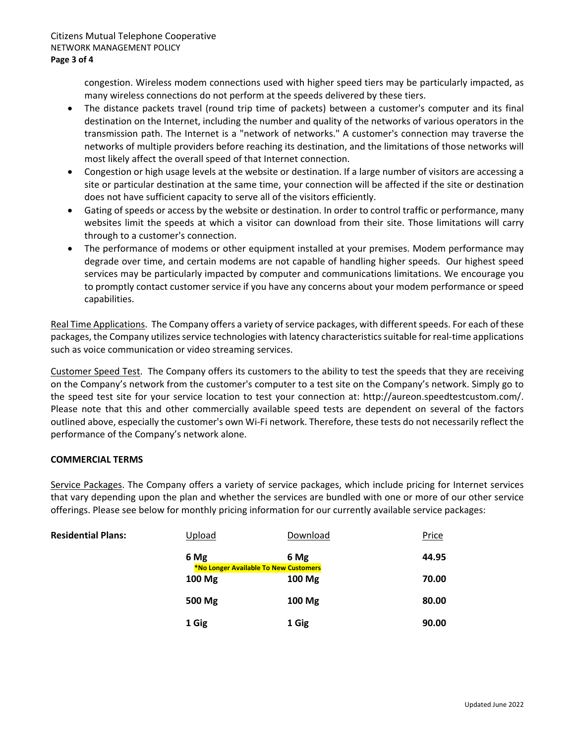congestion. Wireless modem connections used with higher speed tiers may be particularly impacted, as many wireless connections do not perform at the speeds delivered by these tiers.

- The distance packets travel (round trip time of packets) between a customer's computer and its final destination on the Internet, including the number and quality of the networks of various operators in the transmission path. The Internet is a "network of networks." A customer's connection may traverse the networks of multiple providers before reaching its destination, and the limitations of those networks will most likely affect the overall speed of that Internet connection.
- Congestion or high usage levels at the website or destination. If a large number of visitors are accessing a site or particular destination at the same time, your connection will be affected if the site or destination does not have sufficient capacity to serve all of the visitors efficiently.
- Gating of speeds or access by the website or destination. In order to control traffic or performance, many websites limit the speeds at which a visitor can download from their site. Those limitations will carry through to a customer's connection.
- The performance of modems or other equipment installed at your premises. Modem performance may degrade over time, and certain modems are not capable of handling higher speeds. Our highest speed services may be particularly impacted by computer and communications limitations. We encourage you to promptly contact customer service if you have any concerns about your modem performance or speed capabilities.

Real Time Applications. The Company offers a variety of service packages, with different speeds. For each of these packages, the Company utilizes service technologies with latency characteristics suitable for real-time applications such as voice communication or video streaming services.

Customer Speed Test. The Company offers its customers to the ability to test the speeds that they are receiving on the Company's network from the customer's computer to a test site on the Company's network. Simply go to the speed test site for your service location to test your connection at: http://aureon.speedtestcustom.com/. Please note that this and other commercially available speed tests are dependent on several of the factors outlined above, especially the customer's own Wi‐Fi network. Therefore, these tests do not necessarily reflect the performance of the Company's network alone.

# **COMMERCIAL TERMS**

Service Packages. The Company offers a variety of service packages, which include pricing for Internet services that vary depending upon the plan and whether the services are bundled with one or more of our other service offerings. Please see below for monthly pricing information for our currently available service packages:

| <b>Residential Plans:</b> | Upload                                       | Download | Price |
|---------------------------|----------------------------------------------|----------|-------|
|                           | 6 Mg                                         | 6 Mg     | 44.95 |
|                           | <b>*No Longer Available To New Customers</b> |          |       |
|                           | 100 Mg                                       | 100 Mg   | 70.00 |
|                           | 500 Mg                                       | 100 Mg   | 80.00 |
|                           | 1 Gig                                        | 1 Gig    | 90.00 |